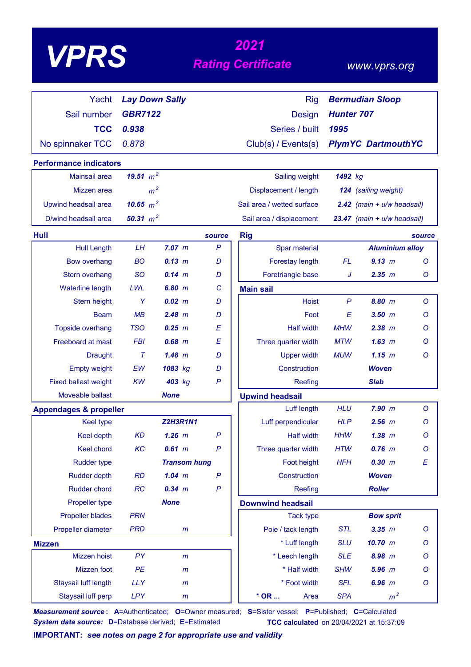# *<sup>2021</sup> VPRS Rating Certificate*

### *www.vprs.org*

| Yacht                             | <b>Lay Down Sally</b> |                     |              | <b>Rig</b>                 |                   | <b>Bermudian Sloop</b>         |              |
|-----------------------------------|-----------------------|---------------------|--------------|----------------------------|-------------------|--------------------------------|--------------|
| Sail number                       | <b>GBR7122</b>        |                     |              | <b>Design</b>              | <b>Hunter 707</b> |                                |              |
| <b>TCC</b>                        | 0.938                 |                     |              | Series / built             | 1995              |                                |              |
| No spinnaker TCC                  | 0.878                 |                     |              | Club(s) / Events(s)        |                   | <b>PlymYC DartmouthYC</b>      |              |
|                                   |                       |                     |              |                            |                   |                                |              |
| <b>Performance indicators</b>     |                       |                     |              |                            |                   |                                |              |
| <b>Mainsail area</b>              | 19.51 $m^2$           |                     |              | Sailing weight             | 1492 kg           |                                |              |
| Mizzen area                       | m <sup>2</sup>        |                     |              | Displacement / length      |                   | 124 (sailing weight)           |              |
| Upwind headsail area              | 10.65 $m^2$           |                     |              | Sail area / wetted surface |                   | $2.42$ (main + $u/w$ headsail) |              |
| D/wind headsail area              | 50.31 $m^2$           |                     |              | Sail area / displacement   |                   | 23.47 (main + u/w headsail)    |              |
| <b>Hull</b>                       |                       |                     | source       | <b>Rig</b>                 |                   |                                | source       |
| <b>Hull Length</b>                | LH                    | $7.07$ $m$          | $\mathsf{P}$ | Spar material              |                   | <b>Aluminium alloy</b>         |              |
| <b>Bow overhang</b>               | <b>BO</b>             | 0.13 m              | D            | Forestay length            | FL                | 9.13 m                         | $\circ$      |
| Stern overhang                    | <b>SO</b>             | $0.14 \, m$         | D            | Foretriangle base          | J                 | 2.35 m                         | Ο            |
| Waterline length                  | LWL                   | 6.80 m              | C            | <b>Main sail</b>           |                   |                                |              |
| Stern height                      | Y                     | $0.02 \, m$         | D            | <b>Hoist</b>               | P                 | 8.80 m                         | O            |
| <b>Beam</b>                       | MB                    | $2.48$ m            | D            | Foot                       | E                 | $3.50$ $m$                     | Ο            |
| Topside overhang                  | <b>TSO</b>            | $0.25$ $m$          | E            | <b>Half width</b>          | <b>MHW</b>        | $2.38$ $m$                     | Ο            |
| Freeboard at mast                 | <b>FBI</b>            | $0.68$ $m$          | E            | Three quarter width        | <b>MTW</b>        | 1.63~m                         | Ο            |
| <b>Draught</b>                    | $\tau$                | 1.48~m              | D            | <b>Upper width</b>         | <b>MUW</b>        | 1.15~m                         | O            |
| <b>Empty weight</b>               | EW                    | 1083 kg             | D            | Construction               |                   | <b>Woven</b>                   |              |
| <b>Fixed ballast weight</b>       | <b>KW</b>             | 403 kg              | $\mathsf{P}$ | Reefing                    |                   | <b>Slab</b>                    |              |
| Moveable ballast                  |                       | <b>None</b>         |              | <b>Upwind headsail</b>     |                   |                                |              |
| <b>Appendages &amp; propeller</b> |                       |                     |              | Luff length                | <b>HLU</b>        | $7.90$ $m$                     | $\circ$      |
| <b>Keel type</b>                  |                       | <b>Z2H3R1N1</b>     |              | Luff perpendicular         | <b>HLP</b>        | $2.56$ $m$                     | Ο            |
| <b>Keel depth</b>                 | <b>KD</b>             | $1.26$ m            | $\mathsf{P}$ | <b>Half width</b>          | <b>HHW</b>        | 1.38~m                         | $\circ$      |
| Keel chord                        | KC                    | $0.61$ m            | $\mathsf{P}$ | Three quarter width        | <b>HTW</b>        | $0.76$ $m$                     | $\circ$      |
| <b>Rudder type</b>                |                       | <b>Transom hung</b> |              | Foot height                | <b>HFH</b>        | 0.30 m                         | E            |
| <b>Rudder depth</b>               | <b>RD</b>             | $1.04$ m            | P            | Construction               |                   | <b>Woven</b>                   |              |
| <b>Rudder chord</b>               | RC                    | $0.34$ m            | $\mathsf{P}$ | Reefing                    |                   | <b>Roller</b>                  |              |
| Propeller type                    |                       | <b>None</b>         |              | <b>Downwind headsail</b>   |                   |                                |              |
| <b>Propeller blades</b>           | <b>PRN</b>            |                     |              | <b>Tack type</b>           |                   | <b>Bow sprit</b>               |              |
| Propeller diameter                | <b>PRD</b>            | m                   |              | Pole / tack length         | <b>STL</b>        | $3.35$ $m$                     | O            |
| <b>Mizzen</b>                     |                       |                     |              | * Luff length              | <b>SLU</b>        | 10.70 m                        | O            |
| Mizzen hoist                      | <b>PY</b>             | m                   |              | * Leech length             | <b>SLE</b>        | 8.98 m                         | O            |
| Mizzen foot                       | PE                    | $\mathsf{m}$        |              | * Half width               | <b>SHW</b>        | 5.96 m                         | O            |
| Staysail luff length              | <b>LLY</b>            | $\mathsf{m}$        |              | * Foot width               | <b>SFL</b>        | $6.96$ $m$                     | $\mathcal O$ |
| Staysail luff perp                | <b>LPY</b>            | m                   |              | $*$ OR<br>Area             | <b>SPA</b>        | m <sup>2</sup>                 |              |

*Measurement source* **: A**=Authenticated; **O**=Owner measured; **S**=Sister vessel; **P**=Published; **C**=Calculated *System data source:* **D**=Database derived; **E**=Estimated **TCC calculated** on 20/04/2021 at 15:37:09

**IMPORTANT:** *see notes on page 2 for appropriate use and validity*